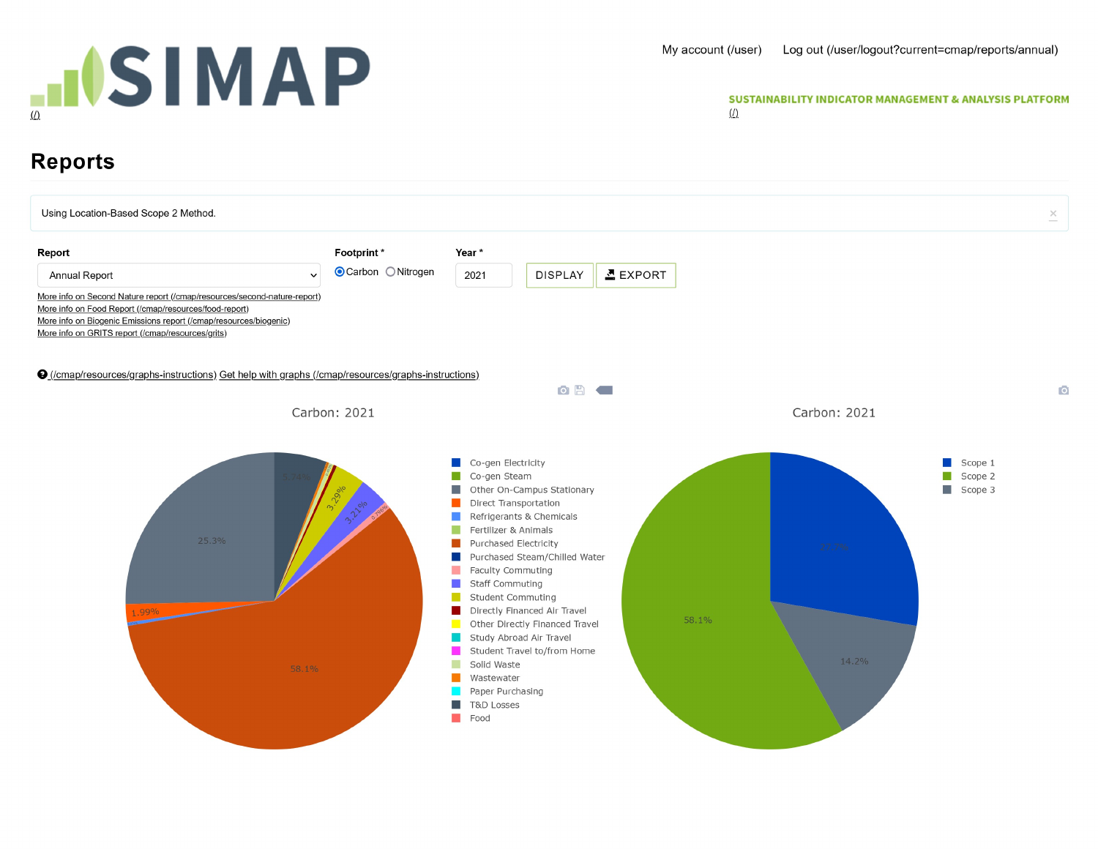

## My account (/user) Log out (/user/logout?current=cmap/reports/annual)<br>
SUSTAINABILITY INDICATOR MANAGEMENT & ANALYSIS PLATFORM<br>
(<u>/</u>)

## Reports